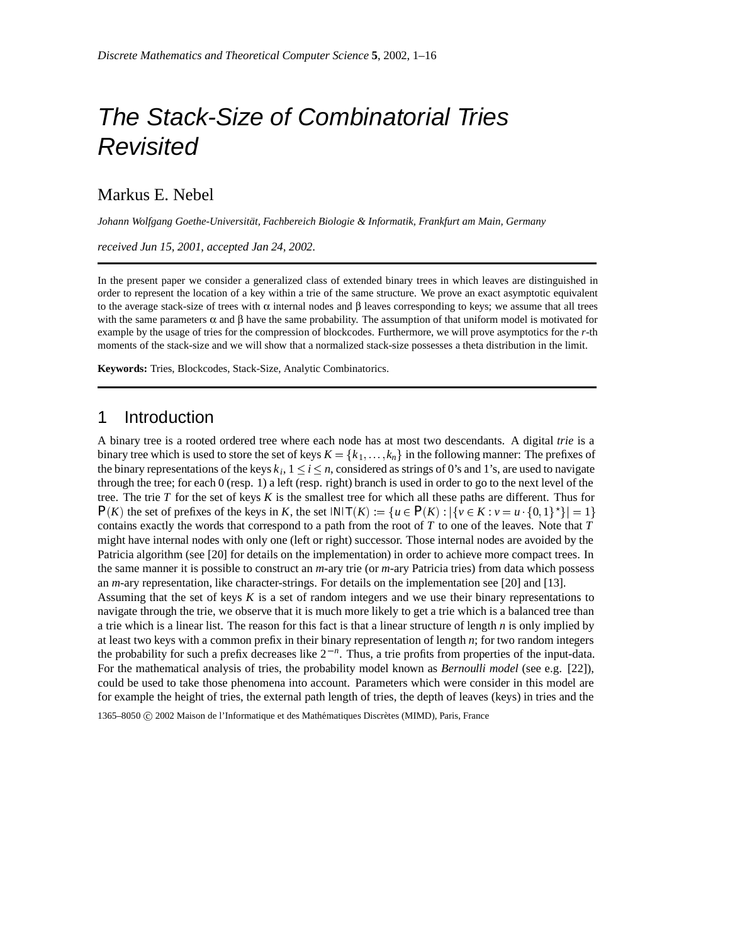# *The Stack-Size of Combinatorial Tries Revisited*

Markus E. Nebel

Johann Wolfgang Goethe-Universität, Fachbereich Biologie & Informatik, Frankfurt am Main, Germany

*received Jun 15, 2001*, *accepted Jan 24, 2002*.

In the present paper we consider a generalized class of extended binary trees in which leaves are distinguished in order to represent the location of a key within a trie of the same structure. We prove an exact asymptotic equivalent to the average stack-size of trees with  $\alpha$  internal nodes and  $\beta$  leaves corresponding to keys; we assume that all trees with the same parameters  $\alpha$  and  $\beta$  have the same probability. The assumption of that uniform model is motivated for example by the usage of tries for the compression of blockcodes. Furthermore, we will prove asymptotics for the *r*-th moments of the stack-size and we will show that a normalized stack-size possesses a theta distribution in the limit.

**Keywords:** Tries, Blockcodes, Stack-Size, Analytic Combinatorics.

## 1 Introduction

A binary tree is a rooted ordered tree where each node has at most two descendants. A digital *trie* is a binary tree which is used to store the set of keys  $K = \{k_1, \ldots, k_n\}$  in the following manner: The prefixes of the binary representations of the keys  $k_i$ ,  $1 \le i \le n$ , considered as strings of 0's and 1's, are used to navigate through the tree; for each 0 (resp. 1) a left (resp. right) branch is used in order to go to the next level of the tree. The trie *T* for the set of keys *K* is the smallest tree for which all these paths are different. Thus for  $P(K)$  the set of prefixes of the keys in *K*, the set  $|N|T(K) := \{u \in P(K) : |\{v \in K : v = u \cdot \{0,1\}^*\}| = 1\}$ contains exactly the words that correspond to a path from the root of *T* to one of the leaves. Note that *T* might have internal nodes with only one (left or right) successor. Those internal nodes are avoided by the Patricia algorithm (see [20] for details on the implementation) in order to achieve more compact trees. In the same manner it is possible to construct an *m*-ary trie (or *m*-ary Patricia tries) from data which possess an *m*-ary representation, like character-strings. For details on the implementation see [20] and [13]. Assuming that the set of keys *K* is a set of random integers and we use their binary representations to navigate through the trie, we observe that it is much more likely to get a trie which is a balanced tree than a trie which is a linear list. The reason for this fact is that a linear structure of length *n* is only implied by at least two keys with a common prefix in their binary representation of length *n*; for two random integers

the probability for such a prefix decreases like  $2^{-n}$ . Thus, a trie profits from properties of the input-data. For the mathematical analysis of tries, the probability model known as *Bernoulli model* (see e.g. [22]), could be used to take those phenomena into account. Parameters which were consider in this model are for example the height of tries, the external path length of tries, the depth of leaves (keys) in tries and the

1365–8050 C 2002 Maison de l'Informatique et des Mathématiques Discrètes (MIMD), Paris, France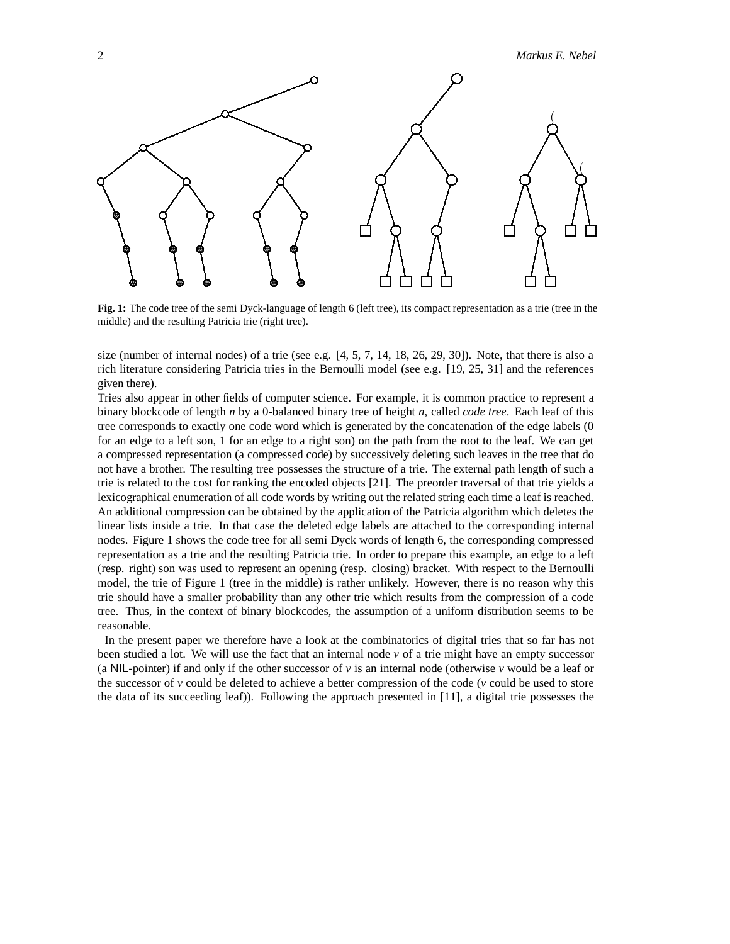2 *Markus E. Nebel*



**Fig. 1:** The code tree of the semi Dyck-language of length 6 (left tree), its compact representation as a trie (tree in the middle) and the resulting Patricia trie (right tree).

size (number of internal nodes) of a trie (see e.g. [4, 5, 7, 14, 18, 26, 29, 30]). Note, that there is also a rich literature considering Patricia tries in the Bernoulli model (see e.g. [19, 25, 31] and the references given there).

Tries also appear in other fields of computer science. For example, it is common practice to represent a binary blockcode of length *n* by a 0-balanced binary tree of height *n*, called *code tree*. Each leaf of this tree corresponds to exactly one code word which is generated by the concatenation of the edge labels (0 for an edge to a left son, 1 for an edge to a right son) on the path from the root to the leaf. We can get a compressed representation (a compressed code) by successively deleting such leaves in the tree that do not have a brother. The resulting tree possesses the structure of a trie. The external path length of such a trie is related to the cost for ranking the encoded objects [21]. The preorder traversal of that trie yields a lexicographical enumeration of all code words by writing out the related string each time a leaf is reached. An additional compression can be obtained by the application of the Patricia algorithm which deletes the linear lists inside a trie. In that case the deleted edge labels are attached to the corresponding internal nodes. Figure 1 shows the code tree for all semi Dyck words of length 6, the corresponding compressed representation as a trie and the resulting Patricia trie. In order to prepare this example, an edge to a left (resp. right) son was used to represent an opening (resp. closing) bracket. With respect to the Bernoulli model, the trie of Figure 1 (tree in the middle) is rather unlikely. However, there is no reason why this trie should have a smaller probability than any other trie which results from the compression of a code tree. Thus, in the context of binary blockcodes, the assumption of a uniform distribution seems to be reasonable.

In the present paper we therefore have a look at the combinatorics of digital tries that so far has not been studied a lot. We will use the fact that an internal node  $\nu$  of a trie might have an empty successor (a NIL-pointer) if and only if the other successor of  $\nu$  is an internal node (otherwise  $\nu$  would be a leaf or the successor of  $\nu$  could be deleted to achieve a better compression of the code ( $\nu$  could be used to store the data of its succeeding leaf)). Following the approach presented in [11], a digital trie possesses the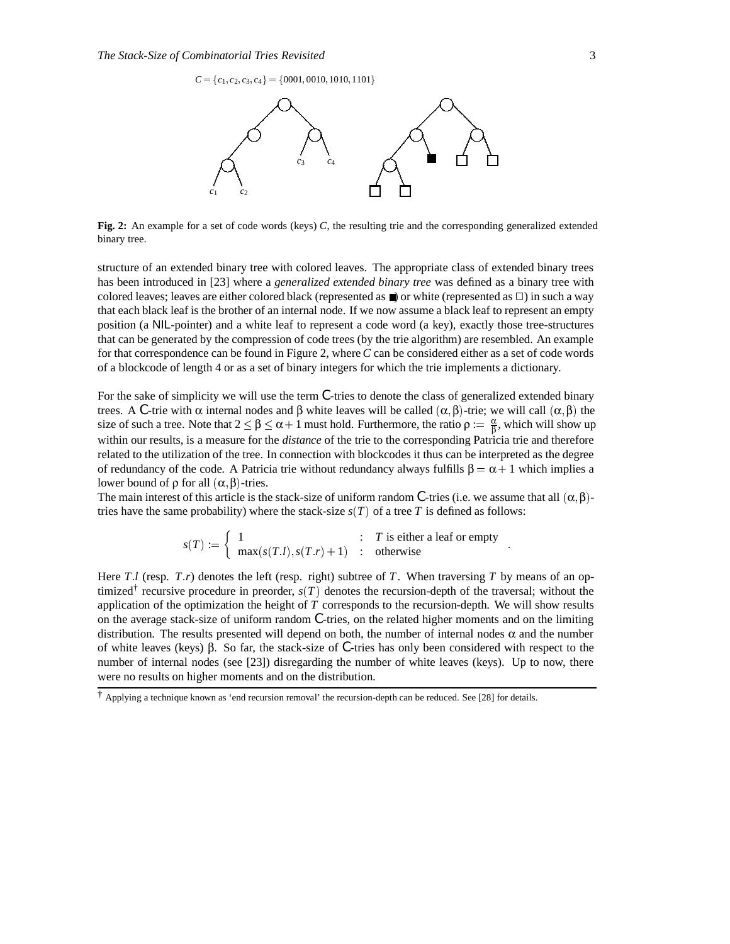$C = \{c_1, c_2, c_3, c_4\} = \{0001, 0010, 1010, 1101\}$ 



**Fig. 2:** An example for a set of code words (keys) *C*, the resulting trie and the corresponding generalized extended binary tree.

structure of an extended binary tree with colored leaves. The appropriate class of extended binary trees has been introduced in [23] where a *generalized extended binary tree* was defined as a binary tree with colored leaves; leaves are either colored black (represented as  $\blacksquare$ ) or white (represented as  $\square$ ) in such a way that each black leaf is the brother of an internal node. If we now assume a black leaf to represent an empty position (a NIL-pointer) and a white leaf to represent a code word (a key), exactly those tree-structures that can be generated by the compression of code trees (by the trie algorithm) are resembled. An example for that correspondence can be found in Figure 2, where *C* can be considered either as a set of code words of a blockcode of length 4 or as a set of binary integers for which the trie implements a dictionary.

For the sake of simplicity we will use the term *C*-tries to denote the class of generalized extended binary trees. A *C*-trie with α internal nodes and β white leaves will be called  $(α, β)$ -trie; we will call  $(α, β)$  the size of such a tree. Note that  $2 \le \beta \le \alpha + 1$  must hold. Furthermore, the ratio  $\rho := \frac{\alpha}{\beta}$ , which will show up within our results, is a measure for the *distance* of the trie to the corresponding Patricia trie and therefore related to the utilization of the tree. In connection with blockcodes it thus can be interpreted as the degree of redundancy of the code. A Patricia trie without redundancy always fulfills  $\beta = \alpha + 1$  which implies a lower bound of  $ρ$  for all  $(α, β)$ -tries.

The main interest of this article is the stack-size of uniform random *C*-tries (i.e. we assume that all  $(\alpha, \beta)$ tries have the same probability) where the stack-size  $s(T)$  of a tree T is defined as follows:

$$
s(T) := \begin{cases} 1 & \text{if } T \text{ is either a leaf or empty} \\ \max(s(T.l), s(T.r) + 1) & \text{otherwise} \end{cases}
$$

Here  $T \cdot l$  (resp.  $T \cdot r$ ) denotes the left (resp. right) subtree of  $T$ . When traversing  $T$  by means of an optimized<sup>†</sup> recursive procedure in preorder,  $s(T)$  denotes the recursion-depth of the traversal; without the application of the optimization the height of *T* corresponds to the recursion-depth. We will show results on the average stack-size of uniform random *C*-tries, on the related higher moments and on the limiting distribution. The results presented will depend on both, the number of internal nodes  $\alpha$  and the number of white leaves (keys) β. So far, the stack-size of *C*-tries has only been considered with respect to the number of internal nodes (see [23]) disregarding the number of white leaves (keys). Up to now, there were no results on higher moments and on the distribution.

<sup>†</sup> Applying a technique known as 'end recursion removal' the recursion-depth can be reduced. See [28] for details.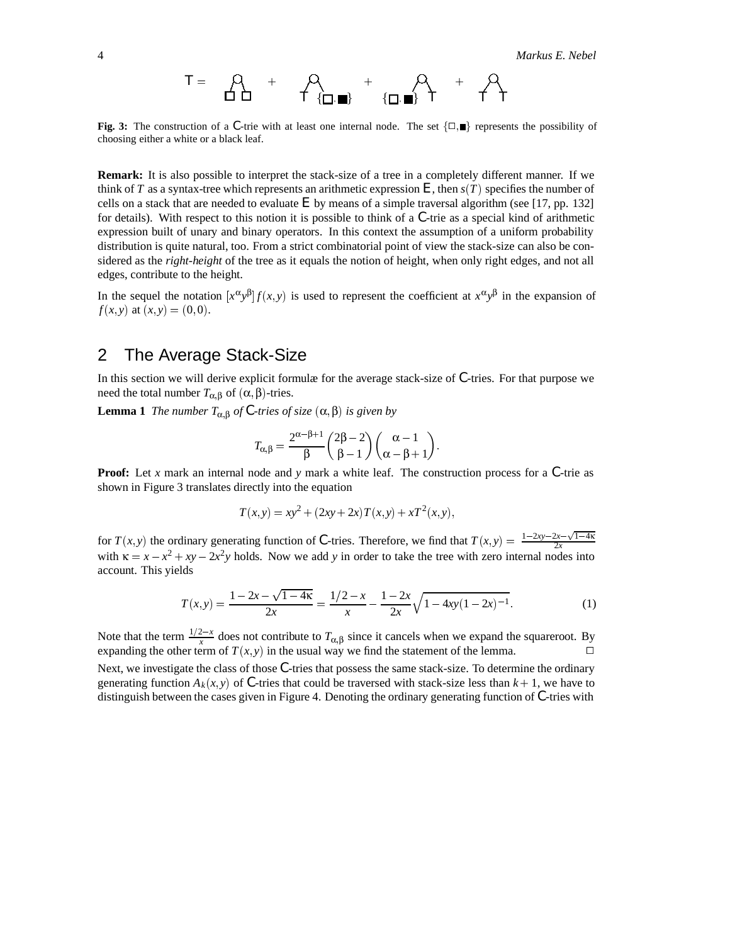*T* - - *T T T T*

**Fig. 3:** The construction of a C-trie with at least one internal node. The set  $\{\Box, \Box\}$  represents the possibility of choosing either a white or a black leaf.

**Remark:** It is also possible to interpret the stack-size of a tree in a completely different manner. If we think of  $T$  as a syntax-tree which represents an arithmetic expression  $E$ , then  $s(T)$  specifies the number of cells on a stack that are needed to evaluate *E* by means of a simple traversal algorithm (see [17, pp. 132] for details). With respect to this notion it is possible to think of a *C*-trie as a special kind of arithmetic expression built of unary and binary operators. In this context the assumption of a uniform probability distribution is quite natural, too. From a strict combinatorial point of view the stack-size can also be considered as the *right-height* of the tree as it equals the notion of height, when only right edges, and not all edges, contribute to the height.

In the sequel the notation  $[x^{\alpha}y^{\beta}]f(x, y)$  is used to represent the coefficient at  $x^{\alpha}y^{\beta}$  in the expansion of *f*(*x*, *y*) at (*x*, *y*) = (0, 0).

## 2 The Average Stack-Size

In this section we will derive explicit formulæ for the average stack-size of *C*-tries. For that purpose we need the total number  $T_{\alpha,\beta}$  of  $(α, β)$ -tries.

**Lemma 1** *The number*  $T_{\alpha,\beta}$  *of C-tries of size*  $(\alpha,\beta)$  *is given by* 

$$
T_{\alpha,\beta} = \frac{2^{\alpha-\beta+1}}{\beta} \binom{2\beta-2}{\beta-1} \binom{\alpha-1}{\alpha-\beta+1}.
$$

**Proof:** Let *x* mark an internal node and *y* mark a white leaf. The construction process for a *C*-trie as shown in Figure 3 translates directly into the equation

$$
T(x, y) = xy^{2} + (2xy + 2x)T(x, y) + xT^{2}(x, y),
$$

for  $T(x, y)$  the ordinary generating function of C-tries. Therefore, we find that  $T(x, y) = \frac{1-2xy-2x-\sqrt{1-4\kappa}}{2x}$ 2*x* with  $\kappa = x - x^2 + xy - 2x^2y$  holds. Now we add *y* in order to take the tree with zero internal nodes into account. This yields

$$
T(x,y) = \frac{1 - 2x - \sqrt{1 - 4\kappa}}{2x} = \frac{1/2 - x}{x} - \frac{1 - 2x}{2x} \sqrt{1 - 4xy(1 - 2x)^{-1}}.
$$
 (1)

Note that the term  $\frac{1/2-x}{x}$  does not contribute to  $T_{\alpha,\beta}$  since it cancels when we expand the squareroot. By expanding the other term of  $T(x, y)$  in the usual way we find the statement of the lemma.

Next, we investigate the class of those *C*-tries that possess the same stack-size. To determine the ordinary generating function  $A_k(x, y)$  of C-tries that could be traversed with stack-size less than  $k + 1$ , we have to distinguish between the cases given in Figure 4. Denoting the ordinary generating function of *C*-tries with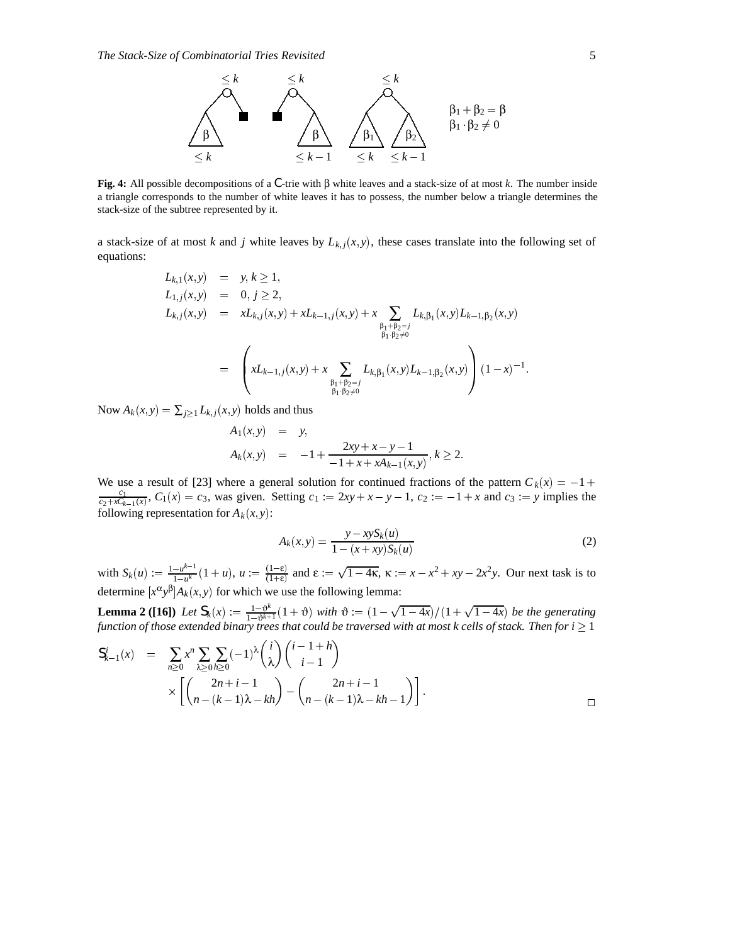

**Fig. 4:** All possible decompositions of a *C*-trie with β white leaves and a stack-size of at most *k*. The number inside a triangle corresponds to the number of white leaves it has to possess, the number below a triangle determines the stack-size of the subtree represented by it.

a stack-size of at most *k* and *j* white leaves by  $L_{k,j}(x, y)$ , these cases translate into the following set of equations:

$$
L_{k,1}(x,y) = y, k \ge 1,
$$
  
\n
$$
L_{1,j}(x,y) = 0, j \ge 2,
$$
  
\n
$$
L_{k,j}(x,y) = xL_{k,j}(x,y) + xL_{k-1,j}(x,y) + x \sum_{\substack{\beta_1 + \beta_2 = j \\ \beta_1 + \beta_2 \ne 0}} L_{k,\beta_1}(x,y)L_{k-1,\beta_2}(x,y)
$$
  
\n
$$
= \left( xL_{k-1,j}(x,y) + x \sum_{\substack{\beta_1 + \beta_2 = j \\ \beta_1 + \beta_2 \ne 0}} L_{k,\beta_1}(x,y)L_{k-1,\beta_2}(x,y) \right) (1-x)^{-1}.
$$

Now  $A_k(x, y) = \sum_{j \ge 1} L_{k,j}(x, y)$  holds and thus

$$
A_1(x, y) = y,
$$
  
\n
$$
A_k(x, y) = -1 + \frac{2xy + x - y - 1}{-1 + x + xA_{k-1}(x, y)}, k \ge 2.
$$

We use a result of [23] where a general solution for continued fractions of the pattern  $C_k(x) = -1 +$ *c*1  $\frac{c_1}{c_2 + xC_{k-1}(x)}$ ,  $C_1(x) = c_3$ , was given. Setting  $c_1 := 2xy + x - y - 1$ ,  $c_2 := -1 + x$  and  $c_3 := y$  implies the following representation for  $A_k(x, y)$ :

$$
A_k(x, y) = \frac{y - xyS_k(u)}{1 - (x + xy)S_k(u)}
$$
(2)

with  $S_k(u) := \frac{1 - u^{k-1}}{1 - u^k} (1 + u)$ ,  $u := \frac{(1 - \varepsilon)}{(1 + \varepsilon)}$  and  $\varepsilon := \sqrt{1 - 4\kappa}$ ,  $\kappa := x - x^2 + xy - 2x^2y$ . Our next task is to determine  $[x^{\alpha}y^{\beta}]A_k(x, y)$  for which we use the following lemma:

**Lemma 2 ([16])** Let  $S_k(x) := \frac{1-\vartheta^k}{1-\vartheta^{k+1}}(1+\vartheta)$  with  $\vartheta := (1-\sqrt{1-4x})/(1+\sqrt{1-4x})$  be the generating function of those extended binary trees that could be traversed with at most  $k$  cells of stack. Then for  $i\geq 1$ 

$$
S_{k-1}^{i}(x) = \sum_{n\geq 0} x^{n} \sum_{\lambda \geq 0} \sum_{h \geq 0} (-1)^{\lambda} {i \choose \lambda} {i-1+h \choose i-1}
$$
  
 
$$
\times \left[ {2n+i-1 \choose n-(k-1)\lambda - kh} - {2n+i-1 \choose n-(k-1)\lambda - kh-1} \right].
$$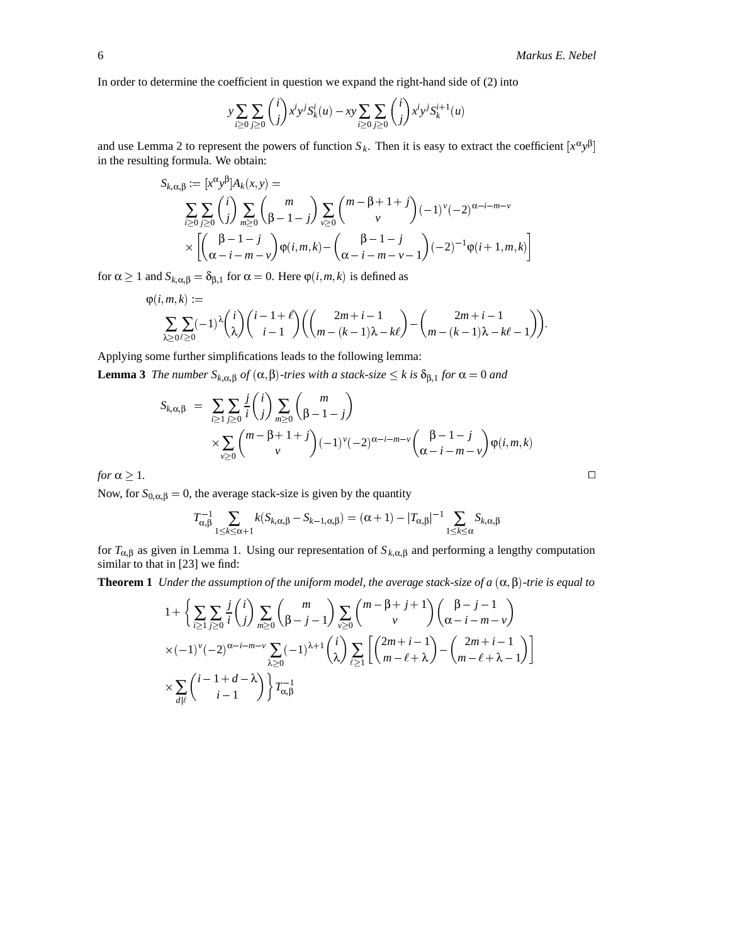In order to determine the coefficient in question we expand the right-hand side of (2) into

$$
y \sum_{i \ge 0} \sum_{j \ge 0} {i \choose j} x^i y^j S_k^i(u) - xy \sum_{i \ge 0} \sum_{j \ge 0} {i \choose j} x^i y^j S_k^{i+1}(u)
$$

and use Lemma 2 to represent the powers of function  $S_k$ . Then it is easy to extract the coefficient  $[x^{\alpha}y^{\beta}]$ in the resulting formula. We obtain:

$$
S_{k,\alpha,\beta} := [x^{\alpha}y^{\beta}]A_k(x,y) =
$$
  

$$
\sum_{i\geq 0} \sum_{j\geq 0} {i \choose j} \sum_{m\geq 0} {m \choose \beta-1-j} \sum_{v\geq 0} {m-\beta+1+j \choose v} (-1)^v (-2)^{\alpha-i-m-v}
$$
  

$$
\times \left[ \left(\frac{\beta-1-j}{\alpha-i-m-v}\right) \varphi(i,m,k) - \left(\frac{\beta-1-j}{\alpha-i-m-v-1}\right) (-2)^{-1} \varphi(i+1,m,k) \right]
$$

for  $\alpha \ge 1$  and  $S_{k,\alpha,\beta} = \delta_{\beta,1}$  for  $\alpha = 0$ . Here  $\varphi(i,m,k)$  is defined as

$$
\varphi(i,m,k) := \sum_{\lambda \geq 0} \sum_{\ell \geq 0} (-1)^{\lambda} {i \choose \lambda} {i-1+\ell \choose i-1} \left( {2m+i-1 \choose m-(k-1)\lambda-k\ell} - {2m+i-1 \choose m-(k-1)\lambda-k\ell-1} \right).
$$

Applying some further simplifications leads to the following lemma:

**Lemma 3** *The number*  $S_{k,\alpha,\beta}$  *of*  $(\alpha,\beta)$ -tries with a stack-size  $\leq$  k is  $\delta_{\beta,1}$  for  $\alpha$  = 0 and

$$
S_{k,\alpha,\beta} = \sum_{i \geq 1} \sum_{j \geq 0} \frac{j}{i} \binom{i}{j} \sum_{m \geq 0} \binom{m}{\beta-1-j} \times \sum_{v \geq 0} \binom{m-\beta+1+j}{v} (-1)^{v} (-2)^{\alpha-i-m-v} \binom{\beta-1-j}{\alpha-i-m-v} \varphi(i,m,k)
$$

*for*  $\alpha \geq 1$ *.* 1*.*

Now, for  $S_{0,\alpha,\beta} = 0$ , the average stack-size is given by the quantity

$$
T_{\alpha,\beta}^{-1}\sum_{1\leq k\leq\alpha+1}k(S_{k,\alpha,\beta}-S_{k-1,\alpha,\beta})=(\alpha+1)-|T_{\alpha,\beta}|^{-1}\sum_{1\leq k\leq\alpha}S_{k,\alpha,\beta}
$$

for  $T_{\alpha,\beta}$  as given in Lemma 1. Using our representation of  $S_{k,\alpha,\beta}$  and performing a lengthy computation similar to that in [23] we find:

**Theorem 1** *Under the assumption of the uniform model, the average stack-size of a*  $(\alpha, \beta)$ -trie is equal to

$$
1 + \left\{ \sum_{i \geq 1} \sum_{j \geq 0} \frac{j}{i} \binom{i}{j} \sum_{m \geq 0} \binom{m}{\beta - j - 1} \sum_{v \geq 0} \binom{m - \beta + j + 1}{v} \binom{\beta - j - 1}{\alpha - i - m - v} \right\}
$$
  
 
$$
\times (-1)^{v} (-2)^{\alpha - i - m - v} \sum_{\lambda \geq 0} (-1)^{\lambda + 1} \binom{i}{\lambda} \sum_{\ell \geq 1} \left[ \binom{2m + i - 1}{m - \ell + \lambda} - \binom{2m + i - 1}{m - \ell + \lambda - 1} \right]
$$
  
 
$$
\times \sum_{\substack{d \mid \ell}} \binom{i - 1 + d - \lambda}{i - 1} \left\} T_{\alpha, \beta}^{-1}
$$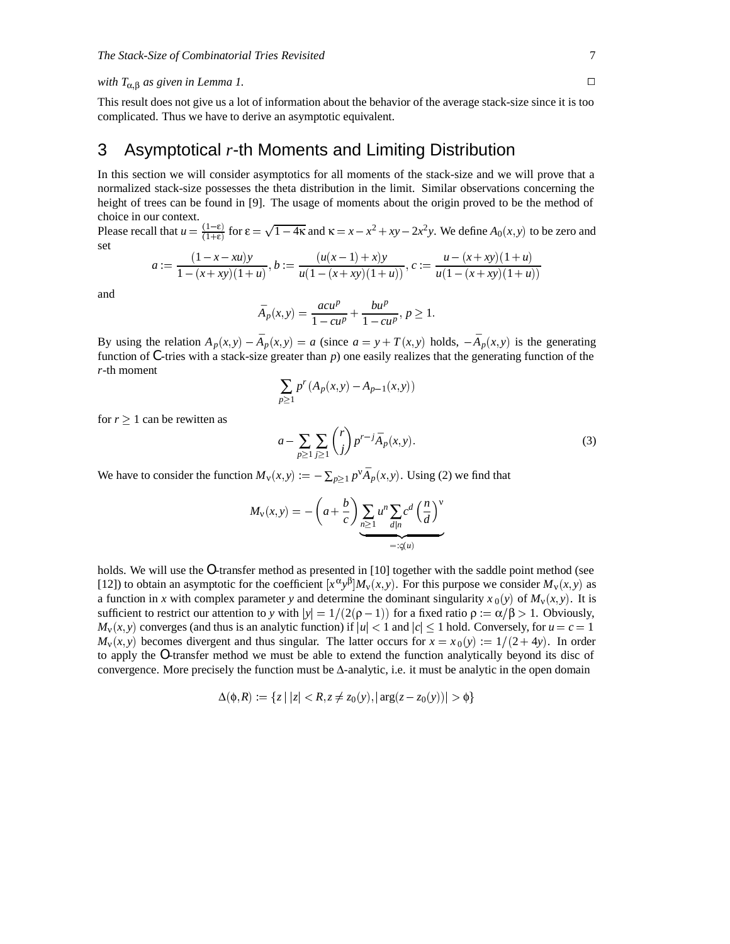#### *with*  $T_{\alpha,\beta}$  *as given in Lemma 1.*  $\Box$

This result does not give us a lot of information about the behavior of the average stack-size since it is too complicated. Thus we have to derive an asymptotic equivalent.

## 3 Asymptotical *r*-th Moments and Limiting Distribution

In this section we will consider asymptotics for all moments of the stack-size and we will prove that a normalized stack-size possesses the theta distribution in the limit. Similar observations concerning the height of trees can be found in [9]. The usage of moments about the origin proved to be the method of choice in our context.

Please recall that  $u = \frac{(1-\varepsilon)}{(1+\varepsilon)}$  for  $\varepsilon = \sqrt{1-4\kappa}$  and  $\kappa = x - x^2 + xy - 2x^2y$ . We define  $A_0(x, y)$  to be zero and set

$$
a := \frac{(1-x-xu)y}{1-(x+xy)(1+u)}, b := \frac{(u(x-1)+x)y}{u(1-(x+xy)(1+u))}, c := \frac{u-(x+xy)(1+u)}{u(1-(x+xy)(1+u))}
$$

and

$$
\bar{A}_p(x,y) = \frac{acu^p}{1 - cu^p} + \frac{bu^p}{1 - cu^p}, p \ge 1.
$$

By using the relation  $A_p(x, y) - \overline{A}_p(x, y) = a$  (since  $a = y + T(x, y)$  holds,  $-\overline{A}_p(x, y)$  is the generating function of *C*-tries with a stack-size greater than *p*) one easily realizes that the generating function of the *r*-th moment

$$
\sum_{p\geq 1} p^{r} (A_p(x, y) - A_{p-1}(x, y))
$$

for  $r \geq 1$  can be rewitten as

$$
a - \sum_{p \ge 1} \sum_{j \ge 1} {r \choose j} p^{r-j} \bar{A}_p(x, y). \tag{3}
$$

We have to consider the function  $M_v(x, y) := -\sum_{p \geq 1} p^v \overline{A}_p(x, y)$ . Using (2) we find that

$$
M_{\mathbf{v}}(x,y) = -\left(a + \frac{b}{c}\right) \underbrace{\sum_{n\geq 1} u^n \sum_{d|n} c^d \left(\frac{n}{d}\right)^{\mathbf{v}}}_{=: \varsigma(u)}
$$

holds. We will use the *O*-transfer method as presented in [10] together with the saddle point method (see [12]) to obtain an asymptotic for the coefficient  $[x^{\alpha}y^{\beta}]M_v(x, y)$ . For this purpose we consider  $M_v(x, y)$  as a function in *x* with complex parameter *y* and determine the dominant singularity  $x_0(y)$  of  $M_v(x, y)$ . It is sufficient to restrict our attention to *y* with  $|y| = 1/(2(\rho - 1))$  for a fixed ratio  $\rho := \alpha/\beta > 1$ . Obviously,  $M_v(x, y)$  converges (and thus is an analytic function) if  $|u| < 1$  and  $|c| \le 1$  hold. Conversely, for  $u = c = 1$  $M_v(x, y)$  becomes divergent and thus singular. The latter occurs for  $x = x_0(y) := 1/(2+4y)$ . In order to apply the *O*-transfer method we must be able to extend the function analytically beyond its disc of convergence. More precisely the function must be Δ-analytic, i.e. it must be analytic in the open domain

$$
\Delta(\phi, R) := \{ z \mid |z| < R, z \neq z_0(y), |\arg(z - z_0(y))| > \phi \}
$$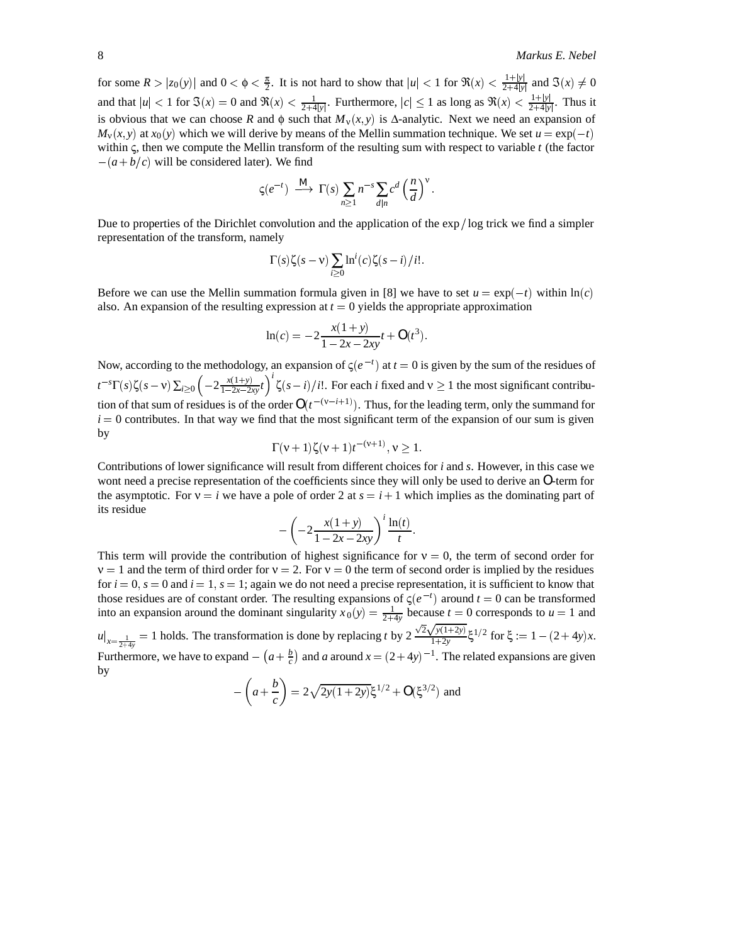for some  $R > |z_0(y)|$  and  $0 < \phi < \frac{\pi}{2}$ . It is not hard to show that  $|u| < 1$  for  $\Re(x) < \frac{1+|y|}{2+4|y|}$  and  $\Im(x) \neq 0$ and that  $|u| < 1$  for  $\Im(x) = 0$  and  $\Re(x) < \frac{1}{2+4|y|}$ . Furthermore,  $|c| \le 1$  as long as  $\Re(x) < \frac{1+|y|}{2+4|y|}$ . Thus it is obvious that we can choose *R* and  $\phi$  such that  $M_v(x, y)$  is  $\Delta$ -analytic. Next we need an expansion of  $M_v(x, y)$  at  $x_0(y)$  which we will derive by means of the Mellin summation technique. We set  $u = \exp(-t)$ within ς, then we compute the Mellin transform of the resulting sum with respect to variable *t* (the factor  $-(a+b/c)$  will be considered later). We find

$$
\varsigma(e^{-t}) \stackrel{M}{\longrightarrow} \Gamma(s) \sum_{n \geq 1} n^{-s} \sum_{d|n} c^d \left(\frac{n}{d}\right)^{\vee}.
$$

Due to properties of the Dirichlet convolution and the application of the  $\exp/\log$  trick we find a simpler representation of the transform, namely

$$
\Gamma(s)\zeta(s-v)\sum_{i\geq 0}\ln^{i}(c)\zeta(s-i)/i!.
$$

Before we can use the Mellin summation formula given in [8] we have to set  $u = \exp(-t)$  within  $\ln(c)$ also. An expansion of the resulting expression at  $t = 0$  yields the appropriate approximation

$$
\ln(c) = -2\frac{x(1+y)}{1-2x-2xy}t + O(t^3).
$$

Now, according to the methodology, an expansion of  $\zeta(e^{-t})$  at  $t=0$  is given by the sum of the residues of  $t^{-s}\Gamma(s)\zeta(s-\nu)\sum_{i\geq 0}\left(-2\frac{x(1+y)}{1-2x-2xy}t\right)^i\zeta$  $\left(\frac{x(1+y)}{1-2x-2xy}t\right)^i \zeta(s-i)/i!$ . For each *i* fixed and  $v \ge 1$  the most significant contribution of that sum of residues is of the order  $O(t^{-(v-i+1)})$ . Thus, for the leading term, only the summand for  $i = 0$  contributes. In that way we find that the most significant term of the expansion of our sum is given by

$$
\Gamma(\nu+1)\zeta(\nu+1)t^{-(\nu+1)}, \nu \ge 1.
$$

Contributions of lower significance will result from different choices for *i* and *s*. However, in this case we wont need a precise representation of the coefficients since they will only be used to derive an *O*-term for the asymptotic. For  $v = i$  we have a pole of order 2 at  $s = i + 1$  which implies as the dominating part of its residue

$$
-\left(-2\frac{x(1+y)}{1-2x-2xy}\right)^{t}\frac{\ln(t)}{t}.
$$

This term will provide the contribution of highest significance for  $v = 0$ , the term of second order for  $v = 1$  and the term of third order for  $v = 2$ . For  $v = 0$  the term of second order is implied by the residues for  $i = 0$ ,  $s = 0$  and  $i = 1$ ,  $s = 1$ ; again we do not need a precise representation, it is sufficient to know that those residues are of constant order. The resulting expansions of  $\zeta(e^{-t})$  around  $t = 0$  can be transformed into an expansion around the dominant singularity  $x_0(y) = \frac{1}{2+4y}$  because  $t = 0$  corresponds to  $u = 1$  and  $u|_{x=\frac{1}{2+4y}} = 1$  holds. The transformation is done by replacing *t* by  $2 \frac{\sqrt{2}\sqrt{y(1+2y)}}{1+2y}$ ξ<sup>1/2</sup> for ξ := 1 - (2 + 4*y*)*x*. Furthermore, we have to expand  $- (a + \frac{b}{c})$  and *a* around  $x = (2+4y)^{-1}$ . The related expansions are given

$$
-\left(a+\frac{b}{c}\right) = 2\sqrt{2y(1+2y)}\xi^{1/2} + O(\xi^{3/2})
$$
 and

by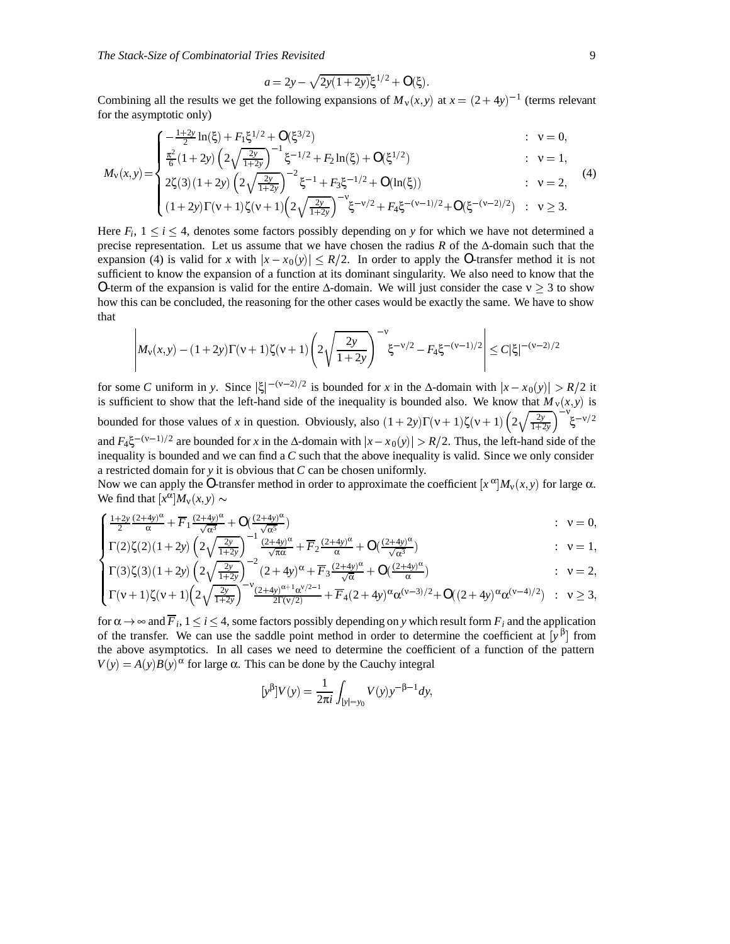$$
a = 2y - \sqrt{2y(1+2y)}\xi^{1/2} + O(\xi).
$$

Combining all the results we get the following expansions of  $M_v(x, y)$  at  $x = (2 + 4y)^{-1}$  (terms relevant for the asymptotic only)

$$
\begin{cases}\n-\frac{1+2y}{2}\ln(\xi) + F_1\xi^{1/2} + O(\xi^{3/2}) & : \ v = 0, \\
\frac{\pi^2}{2}(1+2y)\left(2\sqrt{\frac{2y}{1+2y}}\right)^{-1}\xi^{-1/2} + F_2\ln(\xi) + O(\xi^{1/2}) & : \ v = 1,\n\end{cases}
$$

$$
M_{\mathbf{v}}(x,y) = \begin{cases} \frac{\pi^2}{6} (1+2y) \left( 2\sqrt{\frac{2y}{1+2y}} \right)^{-1} \xi^{-1/2} + F_2 \ln(\xi) + O(\xi^{1/2}) & : \mathbf{v} = 1, \\ 2\zeta(3) (1+2y) \left( 2\sqrt{\frac{2y}{1+2y}} \right)^{-2} \xi^{-1} + F_3 \xi^{-1/2} + O(\ln(\xi)) & : \mathbf{v} = 2, \end{cases}
$$
(4)

$$
\begin{cases}\n2\zeta(3)(1+2y)\left(\frac{2y}{1+2y}\right) & \zeta \to 3 \\
(1+2y)\Gamma(\nu+1)\zeta(\nu+1)\left(2\sqrt{\frac{2y}{1+2y}}\right)^{-\nu}\zeta^{-\nu/2} + F_4\xi^{-(\nu-1)/2} + O(\xi^{-(\nu-2)/2}) & \varepsilon \to 3.\n\end{cases}
$$

Here  $F_i$ ,  $1 \le i \le 4$ , denotes some factors possibly depending on *y* for which we have not determined a precise representation. Let us assume that we have chosen the radius *R* of the Δ-domain such that the expansion (4) is valid for *x* with  $|x - x_0(y)| \le R/2$ . In order to apply the *O*-transfer method it is not sufficient to know the expansion of a function at its dominant singularity. We also need to know that the *O*-term of the expansion is valid for the entire  $\Delta$ -domain. We will just consider the case  $v \ge 3$  to show how this can be concluded, the reasoning for the other cases would be exactly the same. We have to show that

$$
\left| M_{\nu}(x,y) - (1+2y)\Gamma(\nu+1)\zeta(\nu+1) \left( 2\sqrt{\frac{2y}{1+2y}} \right)^{-\nu} \xi^{-\nu/2} - F_4 \xi^{-(\nu-1)/2} \right| \le C |\xi|^{-(\nu-2)/2}
$$

for some *C* uniform in *y*. Since  $|\xi|^{-(v-2)/2}$  is bounded for *x* in the Δ-domain with  $|x-x_0(y)| > R/2$  it is sufficient to show that the left-hand side of the inequality is bounded also. We know that  $M_v(x, y)$  is bounded for those values of *x* in question. Obviously, also  $(1+2y)\Gamma(v+1)\zeta(v+1)\left(2\sqrt{\frac{2y}{1+2y}}\right)^{-v}\zeta^{-v/2}$ and  $F_4 \xi^{-(v-1)/2}$  are bounded for *x* in the  $\Delta$ -domain with  $|x-x_0(y)| > R/2$ . Thus, the left-hand side of the inequality is bounded and we can find a *C* such that the above inequality is valid. Since we only consider a restricted domain for *y* it is obvious that *C* can be chosen uniformly.

Now we can apply the O-transfer method in order to approximate the coefficient  $[x^{\alpha}]M_v(x, y)$  for large  $\alpha$ . We find that  $[x^{\alpha}]M_{\nu}(x, y) \sim$ 

$$
\begin{cases}\n\frac{1+2y}{2}\frac{(2+4y)^{\alpha}}{\alpha} + \overline{F}_1 \frac{(2+4y)^{\alpha}}{\sqrt{\alpha^3}} + O\left(\frac{(2+4y)^{\alpha}}{\sqrt{\alpha^5}}\right) & : \ v = 0, \\
\Gamma(2)\zeta(2)(1+2y)\left(2\sqrt{\frac{2y}{\sqrt{\alpha^5}}}\right)^{-1} \frac{(2+4y)^{\alpha}}{(2+4y)^{\alpha}} + \overline{F}_2 \frac{(2+4y)^{\alpha}}{2} + O\left(\frac{(2+4y)^{\alpha}}{2}\right) & : \ v = 1.\n\end{cases}
$$

Γ-2ζ-2-1 2*y* 2 2*y* <sup>1</sup>2*<sup>y</sup>* <sup>1</sup> -24*y* α πα *F*<sup>2</sup> -24*y* α <sup>α</sup> *O* --24*y* α <sup>α</sup><sup>3</sup> : <sup>ν</sup> <sup>1</sup>

$$
\begin{cases}\n\Gamma(3)\zeta(3)(1+2y)\left(2\sqrt{\frac{2y}{1+2y}}\right)^{-2}(2+4y)^{\alpha} + \overline{F}_3 \frac{(2+4y)^{\alpha}}{\sqrt{\alpha}} + O(\frac{(2+4y)^{\alpha}}{\alpha}) & : v = 2, \\
\Gamma(\nu+1)\zeta(\nu+1)(2\sqrt{\frac{2y}{1+2y}})^{-\nu}\frac{(2+4y)^{\alpha+1}\alpha^{\nu/2-1}}{(2+4y)^{\alpha+1}\alpha^{\nu/2-1}} + \overline{F}_4 (2+4y)^{\alpha}\alpha^{(\nu-3)/2} + O((2+4y)^{\alpha}\alpha^{(\nu-4)/2}) & : v > 3.\n\end{cases}
$$

$$
\left( \Gamma(\nu+1) \zeta(\nu+1) \left( 2\sqrt{\tfrac{2\nu}{1+2\nu}} \right)^{-\nu} \tfrac{(2+4\nu)^{\alpha+1} \alpha^{\nu/2-1}}{2\Gamma(\nu/2)} + \overline{F}_4(2+4\nu)^{\alpha} \alpha^{(\nu-3)/2} + O((2+4\nu)^{\alpha} \alpha^{(\nu-4)/2}) \right) \; : \; \nu \geq 3,
$$

for  $\alpha \to \infty$  and  $\overline{F}_i$ ,  $1 \le i \le 4$ , some factors possibly depending on *y* which result form  $F_i$  and the application of the transfer. We can use the saddle point method in order to determine the coefficient at  $[y^{\beta}]$  from the above asymptotics. In all cases we need to determine the coefficient of a function of the pattern  $V(y) = A(y)B(y)^\alpha$  for large  $\alpha$ . This can be done by the Cauchy integral

$$
[y^{\beta}]V(y) = \frac{1}{2\pi i} \int_{|y|=y_0} V(y) y^{-\beta-1} dy,
$$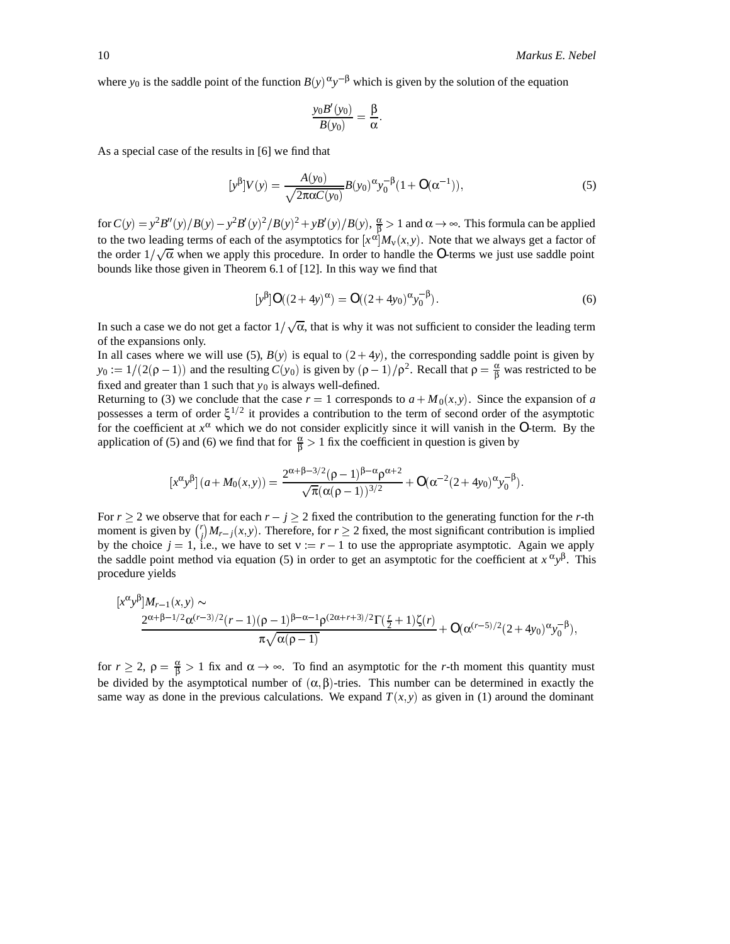where  $y_0$  is the saddle point of the function  $B(y)^\alpha y^{-\beta}$  which is given by the solution of the equation

$$
\frac{y_0B'(y_0)}{B(y_0)}=\frac{\beta}{\alpha}.
$$

As a special case of the results in [6] we find that

$$
[y^{\beta}]V(y) = \frac{A(y_0)}{\sqrt{2\pi\alpha C(y_0)}}B(y_0)^{\alpha}y_0^{-\beta}(1 + O(\alpha^{-1})),
$$
\n(5)

for  $C(y) = y^2 B''(y)/B(y) - y^2 B'(y)^2/B(y)^2 + y B'(y)/B(y)$ ,  $\frac{\alpha}{\beta} > 1$  and  $\alpha \to \infty$ . This formula can be applied to the two leading terms of each of the asymptotics for  $[x^{\alpha}]M_{\nu}(x,y)$ . Note that we always get a factor of the order  $1/\sqrt{\alpha}$  when we apply this procedure. In order to handle the *O*-terms we just use saddle point bounds like those given in Theorem 6.1 of [12]. In this way we find that

$$
[y^{\beta}]O((2+4y)^{\alpha}) = O((2+4y_0)^{\alpha}y_0^{-\beta}).
$$
\n(6)

In such a case we do not get a factor  $1/\sqrt{\alpha}$ , that is why it was not sufficient to consider the leading term of the expansions only.

In all cases where we will use (5),  $B(y)$  is equal to  $(2+4y)$ , the corresponding saddle point is given by  $y_0 := 1/(2(\rho - 1))$  and the resulting  $C(y_0)$  is given by  $(\rho - 1)/\rho^2$ . Recall that  $\rho = \frac{\alpha}{\beta}$  was restricted to be fixed and greater than 1 such that  $y_0$  is always well-defined.

Returning to (3) we conclude that the case  $r = 1$  corresponds to  $a + M_0(x, y)$ . Since the expansion of *a* possesses a term of order  $\xi^{1/2}$  it provides a contribution to the term of second order of the asymptotic for the coefficient at  $x^{\alpha}$  which we do not consider explicitly since it will vanish in the *O*-term. By the application of (5) and (6) we find that for  $\frac{\alpha}{\beta} > 1$  fix the coefficient in question is given by

$$
[x^{\alpha}y^{\beta}](a+M_0(x,y)) = \frac{2^{\alpha+\beta-3/2}(\rho-1)^{\beta-\alpha}\rho^{\alpha+2}}{\sqrt{\pi}(\alpha(\rho-1))^{3/2}} + O(\alpha^{-2}(2+4y_0)^{\alpha}y_0^{-\beta}).
$$

For  $r \geq 2$  we observe that for each  $r - j \geq 2$  fixed the contribution to the generating function for the *r*-th moment is given by  $\binom{r}{j}M_{r-j}(x,y)$ . Therefore, for  $r \ge 2$  fixed, the most significant contribution is implied by the choice  $j = 1$ , i.e., we have to set  $v := r - 1$  to use the appropriate asymptotic. Again we apply the saddle point method via equation (5) in order to get an asymptotic for the coefficient at  $x^{\alpha}y^{\beta}$ . This procedure yields

$$
\begin{aligned}\n&\frac{[x^{\alpha}y^{\beta}]M_{r-1}(x,y)\sim}{2^{\alpha+\beta-1/2}\alpha^{(r-3)/2}(r-1)(\rho-1)^{\beta-\alpha-1}\rho^{(2\alpha+r+3)/2}\Gamma(\frac{r}{2}+1)\zeta(r)}+\mathcal{O}(\alpha^{(r-5)/2}(2+4y_0)^{\alpha}y_0^{-\beta}),\\
&\frac{x\sqrt{\alpha(\rho-1)}}{\sqrt{\alpha(\rho-1)}}\n\end{aligned}
$$

for  $r \ge 2$ ,  $\rho = \frac{\alpha}{\beta} > 1$  fix and  $\alpha \to \infty$ . To find an asymptotic for the *r*-th moment this quantity must be divided by the asymptotical number of  $(\alpha, \beta)$ -tries. This number can be determined in exactly the same way as done in the previous calculations. We expand  $T(x, y)$  as given in (1) around the dominant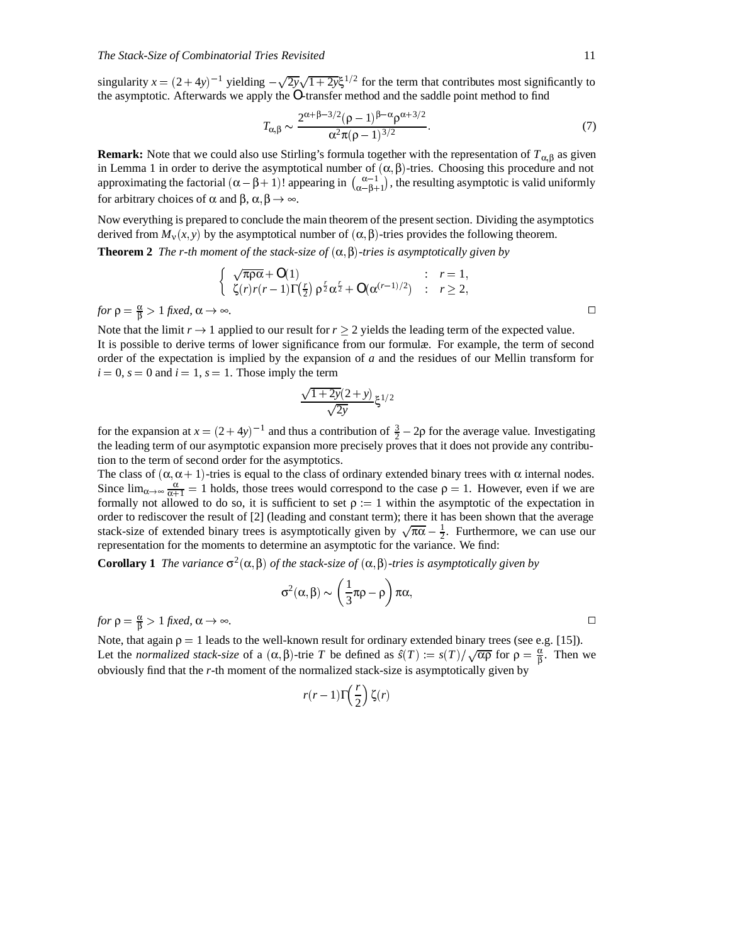singularity  $x = (2+4y)^{-1}$  yielding  $-\sqrt{2y}\sqrt{1+2y}\xi^{1/2}$  for the term that contributes most significantly to the asymptotic. Afterwards we apply the *O*-transfer method and the saddle point method to find

$$
T_{\alpha,\beta} \sim \frac{2^{\alpha+\beta-3/2}(\rho-1)^{\beta-\alpha}\rho^{\alpha+3/2}}{\alpha^2\pi(\rho-1)^{3/2}}.
$$
\n
$$
(7)
$$

**Remark:** Note that we could also use Stirling's formula together with the representation of *T*α-<sup>β</sup> as given in Lemma 1 in order to derive the asymptotical number of  $(\alpha, \beta)$ -tries. Choosing this procedure and not approximating the factorial  $(\alpha - \beta + 1)!$  appearing in  $\binom{\alpha-1}{\alpha-\beta+1}$ , the resulting asymptotic is valid uniformly for arbitrary choices of  $\alpha$  and  $\beta$ ,  $\alpha$ ,  $\beta \rightarrow \infty$ .

Now everything is prepared to conclude the main theorem of the present section. Dividing the asymptotics derived from  $M_v(x, y)$  by the asymptotical number of  $(\alpha, \beta)$ -tries provides the following theorem.

**Theorem 2** *The r-th moment of the stack-size of*  $(\alpha, \beta)$ -tries is asymptotically given by

$$
\begin{cases}\n\sqrt{\pi \rho \alpha} + O(1) & : r = 1, \\
\zeta(r)r(r-1)\Gamma(\frac{r}{2}) \rho^{\frac{r}{2}} \alpha^{\frac{r}{2}} + O(\alpha^{(r-1)/2}) & : r \ge 2,\n\end{cases}
$$
\nfor  $\rho = \frac{\alpha}{\beta} > 1$  fixed,  $\alpha \to \infty$ .

Note that the limit  $r \to 1$  applied to our result for  $r \geq 2$  yields the leading term of the expected value. It is possible to derive terms of lower significance from our formulæ. For example, the term of second order of the expectation is implied by the expansion of *a* and the residues of our Mellin transform for  $i = 0$ ,  $s = 0$  and  $i = 1$ ,  $s = 1$ . Those imply the term

$$
\frac{\sqrt{1+2y}(2+y)}{\sqrt{2y}}\xi^{1/2}
$$

for the expansion at  $x = (2+4y)^{-1}$  and thus a contribution of  $\frac{3}{2} - 2\rho$  for the average value. Investigating the leading term of our asymptotic expansion more precisely proves that it does not provide any contribution to the term of second order for the asymptotics.

The class of  $(\alpha, \alpha + 1)$ -tries is equal to the class of ordinary extended binary trees with  $\alpha$  internal nodes. Since  $\lim_{\alpha\to\infty}\frac{\alpha}{\alpha+1}=1$  holds, those trees would correspond to the case  $\rho=1$ . However, even if we are formally not allowed to do so, it is sufficient to set  $\rho := 1$  within the asymptotic of the expectation in order to rediscover the result of [2] (leading and constant term); there it has been shown that the average stack-size of extended binary trees is asymptotically given by  $\sqrt{\pi\alpha} - \frac{1}{2}$ . Furthermore, we can use our representation for the moments to determine an asymptotic for the variance. We find:

**Corollary 1** *The variance*  $\sigma^2(\alpha, \beta)$  *of the stack-size of*  $(\alpha, \beta)$ -tries is asymptotically given by

$$
\sigma^2(\alpha,\beta)\sim \left(\frac{1}{3}\pi\rho-\rho\right)\pi\alpha,
$$

 $f \circ \rho = \frac{\alpha}{\beta} > 1$  *fixed,*  $\alpha \to \infty$ .

Note, that again  $\rho = 1$  leads to the well-known result for ordinary extended binary trees (see e.g. [15]). Let the *normalized stack-size* of a  $(\alpha, \beta)$ -trie *T* be defined as  $\hat{s}(T) := s(T)/\sqrt{\alpha \beta}$  for  $\rho = \frac{\alpha}{\beta}$ . Then we obviously find that the *r*-th moment of the normalized stack-size is asymptotically given by

$$
r(r-1)\Gamma\left(\frac{r}{2}\right)\zeta(r)
$$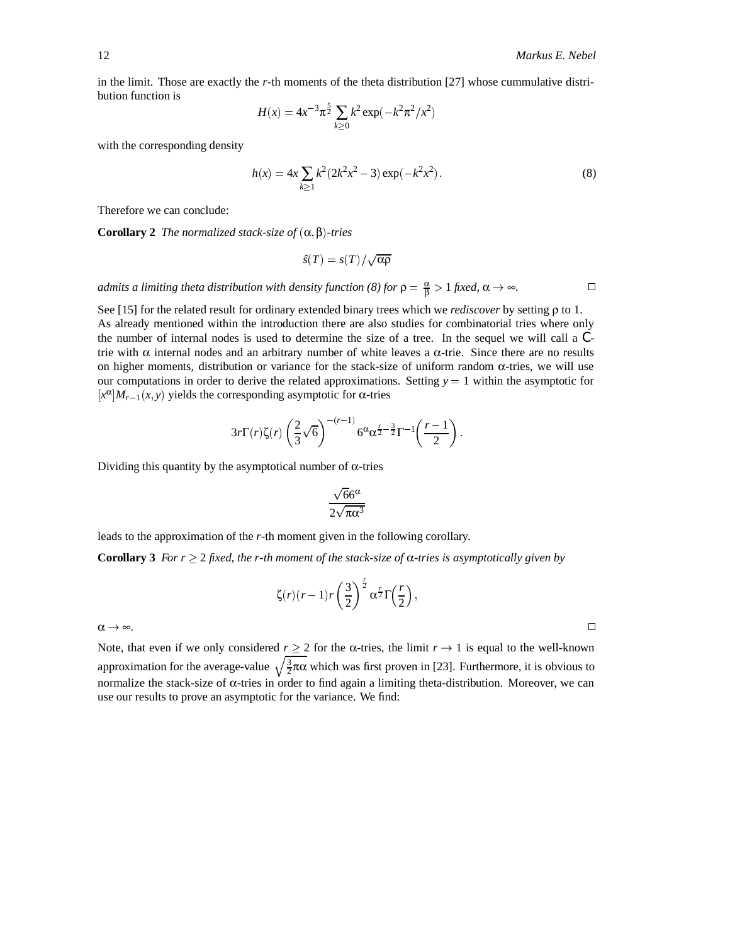in the limit. Those are exactly the *r*-th moments of the theta distribution [27] whose cummulative distribution function is

$$
H(x) = 4x^{-3}\pi^{\frac{5}{2}}\sum_{k\geq 0}k^2\exp(-k^2\pi^2/x^2)
$$

with the corresponding density

$$
h(x) = 4x \sum_{k \ge 1} k^2 (2k^2 x^2 - 3) \exp(-k^2 x^2).
$$
 (8)

Therefore we can conclude:

**Corollary 2** *The normalized stack-size of*  $(\alpha, \beta)$ -tries

$$
\hat{s}(T) = s(T)/\sqrt{\alpha \rho}
$$

*admits a limiting theta distribution with density function (8) for*  $\rho = \frac{\alpha}{\beta} > 1$  *fixed,*  $\alpha \to \infty$ .

See [15] for the related result for ordinary extended binary trees which we *rediscover* by setting ρ to 1. As already mentioned within the introduction there are also studies for combinatorial tries where only the number of internal nodes is used to determine the size of a tree. In the sequel we will call a *C*trie with  $\alpha$  internal nodes and an arbitrary number of white leaves a  $\alpha$ -trie. Since there are no results on higher moments, distribution or variance for the stack-size of uniform random  $\alpha$ -tries, we will use our computations in order to derive the related approximations. Setting  $y = 1$  within the asymptotic for  $[x^{\alpha}]M_{r-1}(x, y)$  yields the corresponding asymptotic for  $\alpha$ -tries

$$
3r\Gamma(r)\zeta(r)\left(\frac{2}{3}\sqrt{6}\right)^{-(r-1)}6^{\alpha}\alpha^{\frac{r}{2}-\frac{3}{2}}\Gamma^{-1}\left(\frac{r-1}{2}\right).
$$

Dividing this quantity by the asymptotical number of α-tries

$$
\frac{\sqrt{66^{\alpha}}}{2\sqrt{\pi\alpha^3}}
$$

leads to the approximation of the *r*-th moment given in the following corollary.

**Corollary 3** *For r*  $\geq$  2 *fixed, the r-th moment of the stack-size of*  $\alpha$ *-tries is asymptotically given by* 

$$
\zeta(r)(r-1)r\left(\frac{3}{2}\right)^{\frac{r}{2}}\alpha^{\frac{r}{2}}\Gamma\!\left(\frac{r}{2}\right),\,
$$

 $\alpha \rightarrow \infty$ .

Note, that even if we only considered  $r \geq 2$  for the  $\alpha$ -tries, the limit  $r \to 1$  is equal to the well-known approximation for the average-value  $\sqrt{\frac{3}{2}\pi\alpha}$  which was first proven in [23]. Furthermore, it is obvious to normalize the stack-size of α-tries in order to find again a limiting theta-distribution. Moreover, we can use our results to prove an asymptotic for the variance. We find: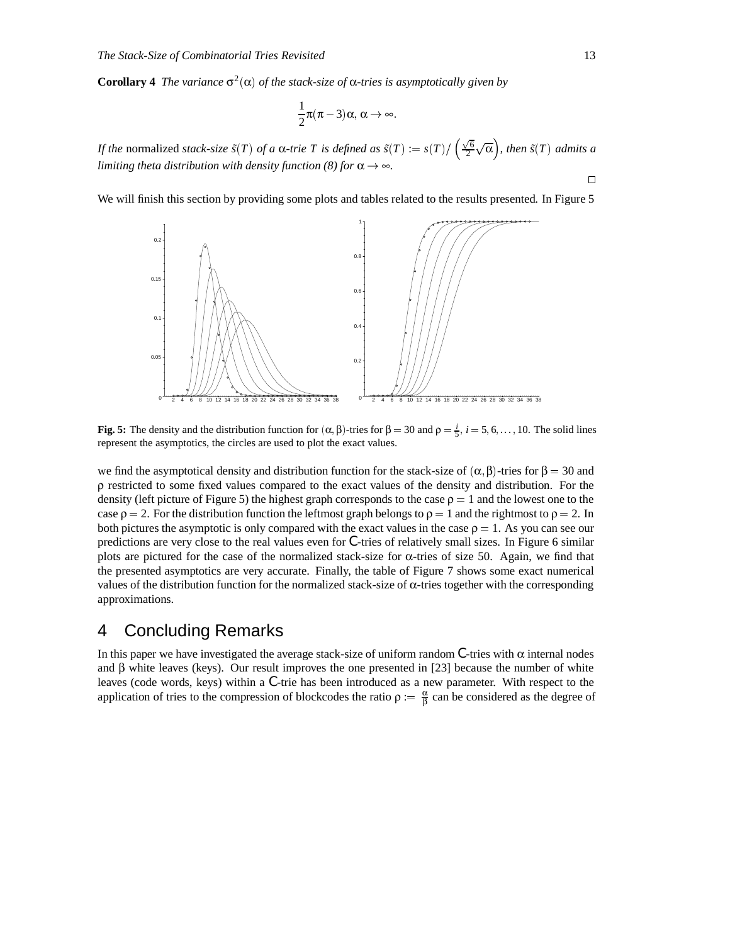**Corollary 4** *The variance*  $\sigma^2(\alpha)$  *of the stack-size of*  $\alpha$ *-tries is asymptotically given by* 

$$
\frac{1}{2}\pi(\pi-3)\alpha,\alpha\to\infty
$$

*If the* normalized *stack-size*  $\tilde{s}(T)$  *of a*  $\alpha$ *-trie*  $T$  *is defined as*  $\tilde{s}(T) := s(T)/\left(\frac{\sqrt{6}}{2}\sqrt{\alpha}\right)$ *, then*  $\tilde{s}(T)$  *admits a limiting theta distribution with density function (8) for*  $\alpha \rightarrow \infty$ *.* 

We will finish this section by providing some plots and tables related to the results presented. In Figure 5



**Fig. 5:** The density and the distribution function for  $(α, β)$ -tries for  $β = 30$  and  $ρ = \frac{i}{5}$ ,  $i = 5, 6, ..., 10$ . The solid lines represent the asymptotics, the circles are used to plot the exact values.

we find the asymptotical density and distribution function for the stack-size of  $(\alpha, \beta)$ -tries for  $\beta = 30$  and ρ restricted to some fixed values compared to the exact values of the density and distribution. For the density (left picture of Figure 5) the highest graph corresponds to the case  $\rho = 1$  and the lowest one to the case  $\rho = 2$ . For the distribution function the leftmost graph belongs to  $\rho = 1$  and the rightmost to  $\rho = 2$ . In both pictures the asymptotic is only compared with the exact values in the case  $\rho = 1$ . As you can see our predictions are very close to the real values even for *C*-tries of relatively small sizes. In Figure 6 similar plots are pictured for the case of the normalized stack-size for α-tries of size 50. Again, we find that the presented asymptotics are very accurate. Finally, the table of Figure 7 shows some exact numerical values of the distribution function for the normalized stack-size of α-tries together with the corresponding approximations.

## 4 Concluding Remarks

In this paper we have investigated the average stack-size of uniform random  $C$ -tries with  $\alpha$  internal nodes and  $\beta$  white leaves (keys). Our result improves the one presented in [23] because the number of white leaves (code words, keys) within a *C*-trie has been introduced as a new parameter. With respect to the application of tries to the compression of blockcodes the ratio  $\rho := \frac{\alpha}{\beta}$  can be considered as the degree of

 $\Box$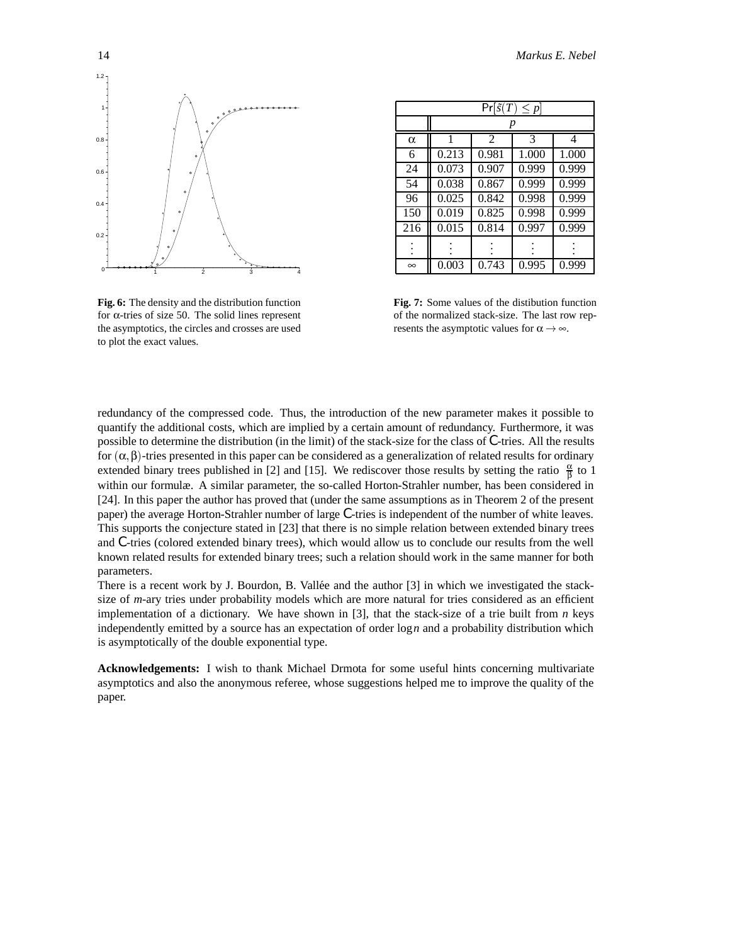

**Fig. 6:** The density and the distribution function for α-tries of size 50. The solid lines represent the asymptotics, the circles and crosses are used to plot the exact values.

| $Pr[\tilde{s}(T) \leq p]$ |       |                |       |       |
|---------------------------|-------|----------------|-------|-------|
|                           |       |                |       |       |
| $\alpha$                  | 1     | $\mathfrak{D}$ | 3     | 4     |
| 6                         | 0.213 | 0.981          | 1.000 | 1.000 |
| 24                        | 0.073 | 0.907          | 0.999 | 0.999 |
| 54                        | 0.038 | 0.867          | 0.999 | 0.999 |
| 96                        | 0.025 | 0.842          | 0.998 | 0.999 |
| 150                       | 0.019 | 0.825          | 0.998 | 0.999 |
| 216                       | 0.015 | 0.814          | 0.997 | 0.999 |
|                           |       |                |       |       |
| $\infty$                  | 0.003 | 0.743          | 0.995 | 0.999 |

**Fig. 7:** Some values of the distibution function of the normalized stack-size. The last row represents the asymptotic values for  $\alpha \rightarrow \infty$ .

redundancy of the compressed code. Thus, the introduction of the new parameter makes it possible to quantify the additional costs, which are implied by a certain amount of redundancy. Furthermore, it was possible to determine the distribution (in the limit) of the stack-size for the class of *C*-tries. All the results for  $(α, β)$ -tries presented in this paper can be considered as a generalization of related results for ordinary extended binary trees published in [2] and [15]. We rediscover those results by setting the ratio  $\frac{\alpha}{\beta}$  to 1 within our formulæ. A similar parameter, the so-called Horton-Strahler number, has been considered in [24]. In this paper the author has proved that (under the same assumptions as in Theorem 2 of the present paper) the average Horton-Strahler number of large *C*-tries is independent of the number of white leaves. This supports the conjecture stated in [23] that there is no simple relation between extended binary trees and *C*-tries (colored extended binary trees), which would allow us to conclude our results from the well known related results for extended binary trees; such a relation should work in the same manner for both parameters.

There is a recent work by J. Bourdon, B. Vallée and the author  $[3]$  in which we investigated the stacksize of *m*-ary tries under probability models which are more natural for tries considered as an efficient implementation of a dictionary. We have shown in [3], that the stack-size of a trie built from *n* keys independently emitted by a source has an expectation of order log*n* and a probability distribution which is asymptotically of the double exponential type.

**Acknowledgements:** I wish to thank Michael Drmota for some useful hints concerning multivariate asymptotics and also the anonymous referee, whose suggestions helped me to improve the quality of the paper.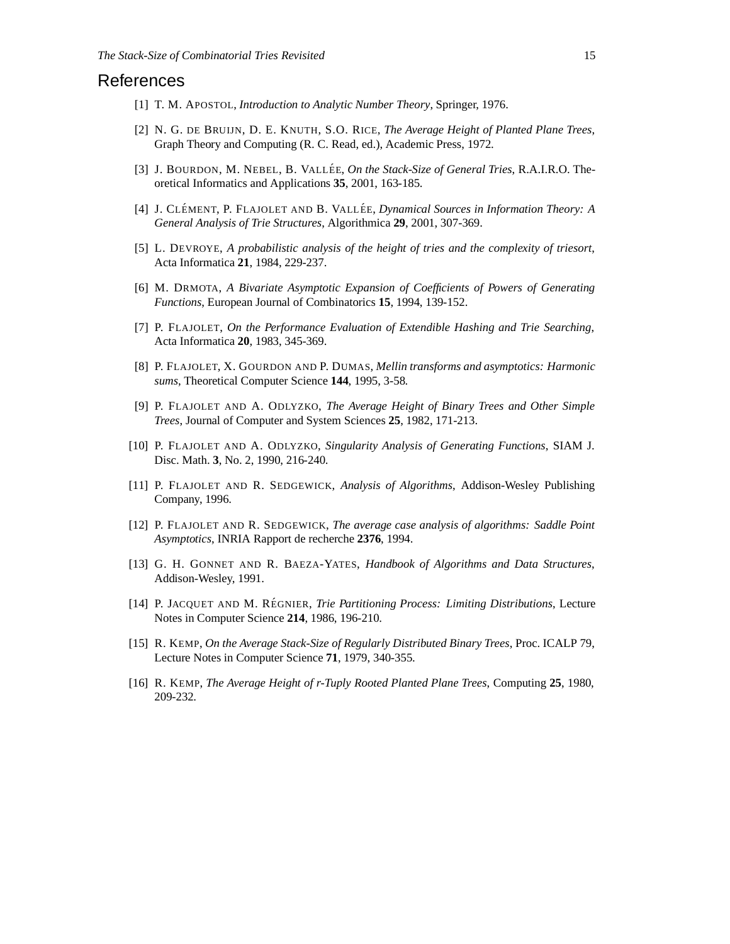### References

- [1] T. M. APOSTOL, *Introduction to Analytic Number Theory*, Springer, 1976.
- [2] N. G. DE BRUIJN, D. E. KNUTH, S.O. RICE, *The Average Height of Planted Plane Trees*, Graph Theory and Computing (R. C. Read, ed.), Academic Press, 1972.
- [3] J. BOURDON, M. NEBEL, B. VALLÉE, *On the Stack-Size of General Tries*, R.A.I.R.O. Theoretical Informatics and Applications **35**, 2001, 163-185.
- [4] J. CLÉMENT, P. FLAJOLET AND B. VALLÉE, *Dynamical Sources in Information Theory: A General Analysis of Trie Structures*, Algorithmica **29**, 2001, 307-369.
- [5] L. DEVROYE, *A probabilistic analysis of the height of tries and the complexity of triesort*, Acta Informatica **21**, 1984, 229-237.
- [6] M. DRMOTA, *A Bivariate Asymptotic Expansion of Coefficients of Powers of Generating Functions*, European Journal of Combinatorics **15**, 1994, 139-152.
- [7] P. FLAJOLET, *On the Performance Evaluation of Extendible Hashing and Trie Searching*, Acta Informatica **20**, 1983, 345-369.
- [8] P. FLAJOLET, X. GOURDON AND P. DUMAS, *Mellin transforms and asymptotics: Harmonic sums*, Theoretical Computer Science **144**, 1995, 3-58.
- [9] P. FLAJOLET AND A. ODLYZKO, *The Average Height of Binary Trees and Other Simple Trees*, Journal of Computer and System Sciences **25**, 1982, 171-213.
- [10] P. FLAJOLET AND A. ODLYZKO, *Singularity Analysis of Generating Functions*, SIAM J. Disc. Math. **3**, No. 2, 1990, 216-240.
- [11] P. FLAJOLET AND R. SEDGEWICK, *Analysis of Algorithms*, Addison-Wesley Publishing Company, 1996.
- [12] P. FLAJOLET AND R. SEDGEWICK, *The average case analysis of algorithms: Saddle Point Asymptotics*, INRIA Rapport de recherche **2376**, 1994.
- [13] G. H. GONNET AND R. BAEZA-YATES, *Handbook of Algorithms and Data Structures*, Addison-Wesley, 1991.
- [14] P. JACQUET AND M. RÉGNIER, *Trie Partitioning Process: Limiting Distributions*, Lecture Notes in Computer Science **214**, 1986, 196-210.
- [15] R. KEMP, *On the Average Stack-Size of Regularly Distributed Binary Trees*, Proc. ICALP 79, Lecture Notes in Computer Science **71**, 1979, 340-355.
- [16] R. KEMP, *The Average Height of r-Tuply Rooted Planted Plane Trees*, Computing **25**, 1980, 209-232.